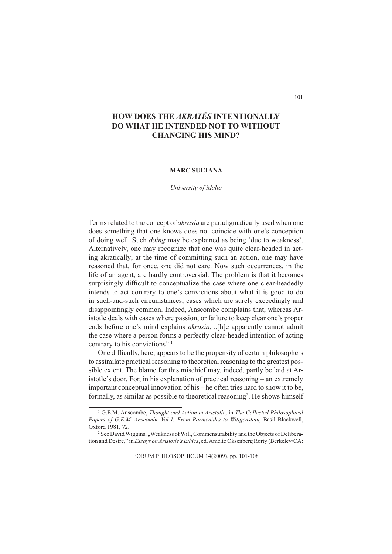# **HOW DOES THE** *AKRATÊS* **INTENTIONALLY DO WHAT HE INTENDED NOT TO WITHOUT CHANGING HIS MIND?**

## **MARC SULTANA**

*University of Malta*

Terms related to the concept of *akrasia* are paradigmatically used when one does something that one knows does not coincide with one's conception of doing well. Such *doing* may be explained as being 'due to weakness'. Alternatively, one may recognize that one was quite clear-headed in acting akratically; at the time of committing such an action, one may have reasoned that, for once, one did not care. Now such occurrences, in the life of an agent, are hardly controversial. The problem is that it becomes surprisingly difficult to conceptualize the case where one clear-headedly intends to act contrary to one's convictions about what it is good to do in such-and-such circumstances; cases which are surely exceedingly and disappointingly common. Indeed, Anscombe complains that, whereas Aristotle deals with cases where passion, or failure to keep clear one's proper ends before one's mind explains *akrasia*, "[h]e apparently cannot admit the case where a person forms a perfectly clear-headed intention of acting contrary to his convictions".1

One difficulty, here, appears to be the propensity of certain philosophers to assimilate practical reasoning to theoretical reasoning to the greatest possible extent. The blame for this mischief may, indeed, partly be laid at Aristotle's door. For, in his explanation of practical reasoning – an extremely important conceptual innovation of his – he often tries hard to show it to be, formally, as similar as possible to theoretical reasoning<sup>2</sup>. He shows himself

FORUM PHILOSOPHICUM 14(2009), pp. 101-108

<sup>&</sup>lt;sup>1</sup> G.E.M. Anscombe, *Thought and Action in Aristotle*, in *The Collected Philosophical Papers of G.E.M. Anscombe Vol I: From Parmenides to Wittgenstein*, Basil Blackwell, Oxford 1981, 72.

<sup>&</sup>lt;sup>2</sup> See David Wiggins, "Weakness of Will, Commensurability and the Objects of Deliberation and Desire," in *Essays on Aristotle's Ethics*, ed. Amélie Oksenberg Rorty (Berkeley/CA: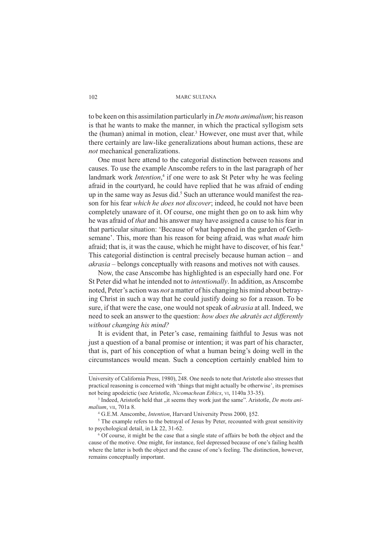to be keen on this assimilation particularly in *De motu animalium*; his reason is that he wants to make the manner, in which the practical syllogism sets the (human) animal in motion, clear.<sup>3</sup> However, one must aver that, while there certainly are law-like generalizations about human actions, these are *not* mechanical generalizations.

One must here attend to the categorial distinction between reasons and causes. To use the example Anscombe refers to in the last paragraph of her landmark work *Intention*,<sup>4</sup> if one were to ask St Peter why he was feeling afraid in the courtyard, he could have replied that he was afraid of ending up in the same way as Jesus did.<sup>5</sup> Such an utterance would manifest the reason for his fear *which he does not discover*; indeed, he could not have been completely unaware of it. Of course, one might then go on to ask him why he was afraid of *that* and his answer may have assigned a cause to his fear in that particular situation: 'Because of what happened in the garden of Gethsemane'. This, more than his reason for being afraid, was what *made* him afraid; that is, it was the cause, which he might have to discover, of his fear.6 This categorial distinction is central precisely because human action – and *akrasia* – belongs conceptually with reasons and motives not with causes.

Now, the case Anscombe has highlighted is an especially hard one. For St Peter did what he intended not to *intentionally*. In addition, as Anscombe noted, Peter's action was *not* a matter of his changing his mind about betraying Christ in such a way that he could justify doing so for a reason. To be sure, if that were the case, one would not speak of *akrasia* at all. Indeed, we need to seek an answer to the question: *how does the akratês act differently without changing his mind?*

It is evident that, in Peter's case, remaining faithful to Jesus was not just a question of a banal promise or intention; it was part of his character, that is, part of his conception of what a human being's doing well in the circumstances would mean. Such a conception certainly enabled him to

University of California Press, 1980), 248. One needs to note that Aristotle also stresses that practical reasoning is concerned with 'things that might actually be otherwise', its premises not being apodeictic (see Aristotle, *Nicomachean Ethics*, VI, 1140a 33-35).

<sup>&</sup>lt;sup>3</sup> Indeed, Aristotle held that "it seems they work just the same". Aristotle, *De motu animalium*, VII, 701a 8.

<sup>4</sup> G.E.M. Anscombe, *Intention*, Harvard University Press 2000, §52.

<sup>&</sup>lt;sup>5</sup> The example refers to the betrayal of Jesus by Peter, recounted with great sensitivity to psychological detail, in Lk 22, 31-62.

<sup>6</sup> Of course, it might be the case that a single state of affairs be both the object and the cause of the motive. One might, for instance, feel depressed because of one's failing health where the latter is both the object and the cause of one's feeling. The distinction, however, remains conceptually important.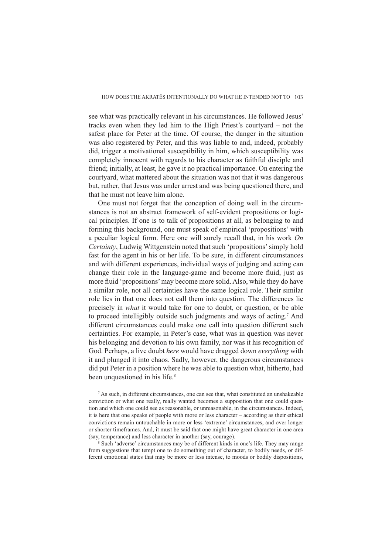see what was practically relevant in his circumstances. He followed Jesus' tracks even when they led him to the High Priest's courtyard – not the safest place for Peter at the time. Of course, the danger in the situation was also registered by Peter, and this was liable to and, indeed, probably did, trigger a motivational susceptibility in him, which susceptibility was completely innocent with regards to his character as faithful disciple and friend; initially, at least, he gave it no practical importance. On entering the courtyard, what mattered about the situation was not that it was dangerous but, rather, that Jesus was under arrest and was being questioned there, and that he must not leave him alone.

One must not forget that the conception of doing well in the circumstances is not an abstract framework of self-evident propositions or logical principles. If one is to talk of propositions at all, as belonging to and forming this background, one must speak of empirical 'propositions' with a peculiar logical form. Here one will surely recall that, in his work *On Certainty*, Ludwig Wittgenstein noted that such 'propositions' simply hold fast for the agent in his or her life. To be sure, in different circumstances and with different experiences, individual ways of judging and acting can change their role in the language-game and become more fluid, just as more fluid 'propositions' may become more solid. Also, while they do have a similar role, not all certainties have the same logical role. Their similar role lies in that one does not call them into question. The differences lie precisely in *what* it would take for one to doubt, or question, or be able to proceed intelligibly outside such judgments and ways of acting.<sup>7</sup> And different circumstances could make one call into question different such certainties. For example, in Peter's case, what was in question was never his belonging and devotion to his own family, nor was it his recognition of God. Perhaps, a live doubt *here* would have dragged down *everything* with it and plunged it into chaos. Sadly, however, the dangerous circumstances did put Peter in a position where he was able to question what, hitherto, had been unquestioned in his life.<sup>8</sup>

<sup>7</sup> As such, in different circumstances, one can see that, what constituted an unshakeable conviction or what one really, really wanted becomes a supposition that one could question and which one could see as reasonable, or unreasonable, in the circumstances. Indeed, it is here that one speaks of people with more or less character – according as their ethical convictions remain untouchable in more or less 'extreme' circumstances, and over longer or shorter timeframes. And, it must be said that one might have great character in one area (say, temperance) and less character in another (say, courage).

<sup>&</sup>lt;sup>8</sup> Such 'adverse' circumstances may be of different kinds in one's life. They may range from suggestions that tempt one to do something out of character, to bodily needs, or different emotional states that may be more or less intense, to moods or bodily dispositions,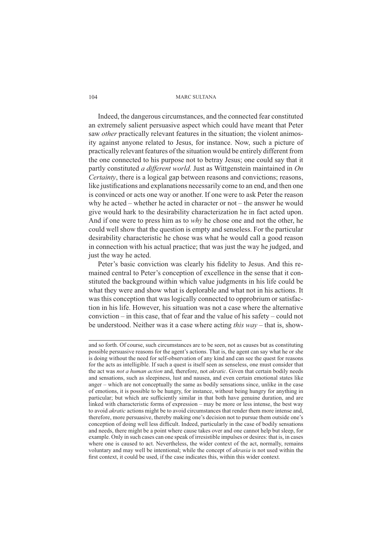Indeed, the dangerous circumstances, and the connected fear constituted an extremely salient persuasive aspect which could have meant that Peter saw *other* practically relevant features in the situation; the violent animosity against anyone related to Jesus, for instance. Now, such a picture of practically relevant features of the situation would be entirely different from the one connected to his purpose not to betray Jesus; one could say that it partly constituted *a different world*. Just as Wittgenstein maintained in *On Certainty*, there is a logical gap between reasons and convictions; reasons, like justifications and explanations necessarily come to an end, and then one is convinced or acts one way or another. If one were to ask Peter the reason why he acted – whether he acted in character or not – the answer he would give would hark to the desirability characterization he in fact acted upon. And if one were to press him as to *why* he chose one and not the other, he could well show that the question is empty and senseless. For the particular desirability characteristic he chose was what he would call a good reason in connection with his actual practice; that was just the way he judged, and just the way he acted.

Peter's basic conviction was clearly his fidelity to Jesus. And this remained central to Peter's conception of excellence in the sense that it constituted the background within which value judgments in his life could be what they were and show what is deplorable and what not in his actions. It was this conception that was logically connected to opprobrium or satisfaction in his life. However, his situation was not a case where the alternative conviction – in this case, that of fear and the value of his safety – could not be understood. Neither was it a case where acting *this way* – that is, show-

and so forth. Of course, such circumstances are to be seen, not as causes but as constituting possible persuasive reasons for the agent's actions. That is, the agent can say what he or she is doing without the need for self-observation of any kind and can see the quest for reasons for the acts as intelligible. If such a quest is itself seen as senseless, one must consider that the act was *not a human action* and, therefore, not *akratic*. Given that certain bodily needs and sensations, such as sleepiness, lust and nausea, and even certain emotional states like anger – which are not conceptually the same as bodily sensations since, unlike in the case of emotions, it is possible to be hungry, for instance, without being hungry for anything in particular; but which are sufficiently similar in that both have genuine duration, and are linked with characteristic forms of expression – may be more or less intense, the best way to avoid *akratic* actions might be to avoid circumstances that render them more intense and, therefore, more persuasive, thereby making one's decision not to pursue them outside one's conception of doing well less difficult. Indeed, particularly in the case of bodily sensations and needs, there might be a point where cause takes over and one cannot help but sleep, for example. Only in such cases can one speak of irresistible impulses or desires: that is, in cases where one is caused to act. Nevertheless, the wider context of the act, normally, remains voluntary and may well be intentional; while the concept of *akrasia* is not used within the first context, it could be used, if the case indicates this, within this wider context.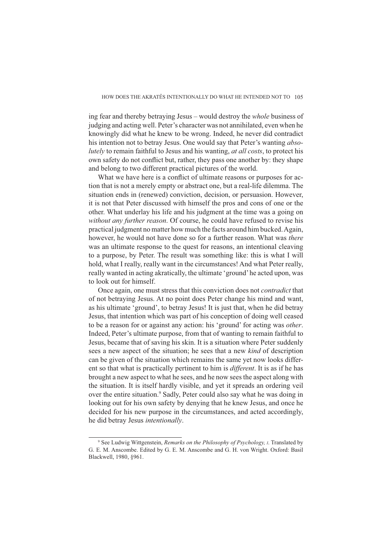ing fear and thereby betraying Jesus – would destroy the *whole* business of judging and acting well. Peter's character was not annihilated, even when he knowingly did what he knew to be wrong. Indeed, he never did contradict his intention not to betray Jesus. One would say that Peter's wanting *absolutely* to remain faithful to Jesus and his wanting, *at all costs*, to protect his own safety do not conflict but, rather, they pass one another by: they shape and belong to two different practical pictures of the world.

What we have here is a conflict of ultimate reasons or purposes for action that is not a merely empty or abstract one, but a real-life dilemma. The situation ends in (renewed) conviction, decision, or persuasion. However, it is not that Peter discussed with himself the pros and cons of one or the other. What underlay his life and his judgment at the time was a going on *without any further reason*. Of course, he could have refused to revise his practical judgment no matter how much the facts around him bucked. Again, however, he would not have done so for a further reason. What was *there*  was an ultimate response to the quest for reasons, an intentional cleaving to a purpose, by Peter. The result was something like: this is what I will hold, what I really, really want in the circumstances! And what Peter really, really wanted in acting akratically, the ultimate 'ground' he acted upon, was to look out for himself.

Once again, one must stress that this conviction does not *contradict* that of not betraying Jesus. At no point does Peter change his mind and want, as his ultimate 'ground', to betray Jesus! It is just that, when he did betray Jesus, that intention which was part of his conception of doing well ceased to be a reason for or against any action: his 'ground' for acting was *other*. Indeed, Peter's ultimate purpose, from that of wanting to remain faithful to Jesus, became that of saving his skin. It is a situation where Peter suddenly sees a new aspect of the situation; he sees that a new *kind* of description can be given of the situation which remains the same yet now looks different so that what is practically pertinent to him is *different*. It is as if he has brought a new aspect to what he sees, and he now sees the aspect along with the situation. It is itself hardly visible, and yet it spreads an ordering veil over the entire situation.<sup>9</sup> Sadly, Peter could also say what he was doing in looking out for his own safety by denying that he knew Jesus, and once he decided for his new purpose in the circumstances, and acted accordingly, he did betray Jesus *intentionally*.

<sup>9</sup> See Ludwig Wittgenstein, *Remarks on the Philosophy of Psychology, I*. Translated by G. E. M. Anscombe. Edited by G. E. M. Anscombe and G. H. von Wright. Oxford: Basil Blackwell, 1980, §961.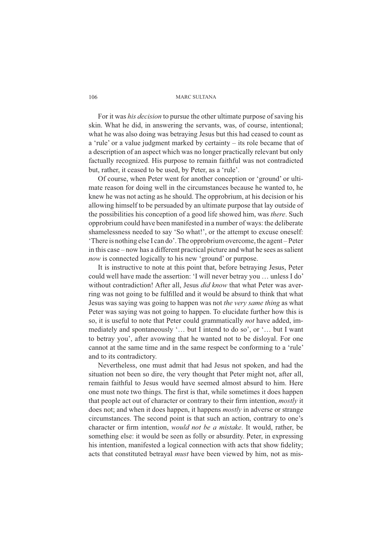For it was *his decision* to pursue the other ultimate purpose of saving his skin. What he did, in answering the servants, was, of course, intentional; what he was also doing was betraying Jesus but this had ceased to count as a 'rule' or a value judgment marked by certainty – its role became that of a description of an aspect which was no longer practically relevant but only factually recognized. His purpose to remain faithful was not contradicted but, rather, it ceased to be used, by Peter, as a 'rule'.

Of course, when Peter went for another conception or 'ground' or ultimate reason for doing well in the circumstances because he wanted to, he knew he was not acting as he should. The opprobrium, at his decision or his allowing himself to be persuaded by an ultimate purpose that lay outside of the possibilities his conception of a good life showed him, was *there*. Such opprobrium could have been manifested in a number of ways: the deliberate shamelessness needed to say 'So what!', or the attempt to excuse oneself: 'There is nothing else I can do'. The opprobrium overcome, the agent – Peter in this case – now has a different practical picture and what he sees as salient *now* is connected logically to his new 'ground' or purpose.

It is instructive to note at this point that, before betraying Jesus, Peter could well have made the assertion: 'I will never betray you … unless I do' without contradiction! After all, Jesus *did know* that what Peter was averring was not going to be fulfilled and it would be absurd to think that what Jesus was saying was going to happen was not *the very same thing* as what Peter was saying was not going to happen. To elucidate further how this is so, it is useful to note that Peter could grammatically *not* have added, immediately and spontaneously '… but I intend to do so', or '… but I want to betray you', after avowing that he wanted not to be disloyal. For one cannot at the same time and in the same respect be conforming to a 'rule' and to its contradictory.

Nevertheless, one must admit that had Jesus not spoken, and had the situation not been so dire, the very thought that Peter might not, after all, remain faithful to Jesus would have seemed almost absurd to him. Here one must note two things. The first is that, while sometimes it does happen that people act out of character or contrary to their firm intention, *mostly* it does not; and when it does happen, it happens *mostly* in adverse or strange circumstances. The second point is that such an action, contrary to one's character or firm intention, *would not be a mistake*. It would, rather, be something else: it would be seen as folly or absurdity. Peter, in expressing his intention, manifested a logical connection with acts that show fidelity; acts that constituted betrayal *must* have been viewed by him, not as mis-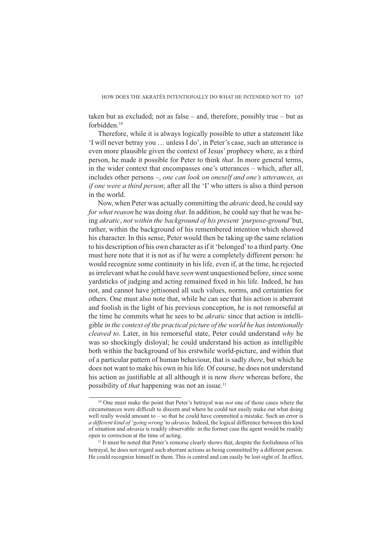taken but as excluded; not as false – and, therefore, possibly true – but as forbidden.10

Therefore, while it is always logically possible to utter a statement like 'I will never betray you … unless I do', in Peter's case, such an utterance is even more plausible given the context of Jesus' prophecy where, as a third person, he made it possible for Peter to think *that*. In more general terms, in the wider context that encompasses one's utterances – which, after all, includes other persons –, *one can look on oneself and one's utterances, as if one were a third person*; after all the 'I' who utters is also a third person in the world.

Now, when Peter was actually committing the *akratic* deed, he could say *for what reason* he was doing *that*. In addition, he could say that he was being *akratic*, *not within the background of his present 'purpose-ground'* but, rather, within the background of his remembered intention which showed his character. In this sense, Peter would then be taking up the same relation to his description of his own character as if it 'belonged' to a third party. One must here note that it is not as if he were a completely different person: he would recognize some continuity in his life, even if, at the time, he rejected as irrelevant what he could have *seen* went unquestioned before, since some yardsticks of judging and acting remained fixed in his life. Indeed, he has not, and cannot have jettisoned all such values, norms, and certainties for others. One must also note that, while he can see that his action is aberrant and foolish in the light of his previous conception, he is not remorseful at the time he commits what he sees to be *akratic* since that action is intelligible *in the context of the practical picture of the world he has intentionally cleaved to*. Later, in his remorseful state, Peter could understand *why* he was so shockingly disloyal; he could understand his action as intelligible both within the background of his erstwhile world-picture, and within that of a particular pattern of human behaviour, that is sadly *there*, but which he does not want to make his own in his life. Of course, he does not understand his action as justifiable at all although it is now *there* whereas before, the possibility of *that* happening was not an issue.<sup>11</sup>

<sup>10</sup> One must make the point that Peter's betrayal was *not* one of those cases where the circumstances were difficult to discern and where he could not easily make out what doing well really would amount to – so that he could have committed a mistake. Such an error is *a different kind of 'going wrong'* to *akrasia*. Indeed, the logical difference between this kind of situation and *akrasia* is readily observable: in the former case the agent would be readily open to correction at the time of acting.

<sup>&</sup>lt;sup>11</sup> It must be noted that Peter's remorse clearly shows that, despite the foolishness of his betrayal, he does not regard such aberrant actions as being committed by a different person. He could recognize himself in them. This is central and can easily be lost sight of. In effect,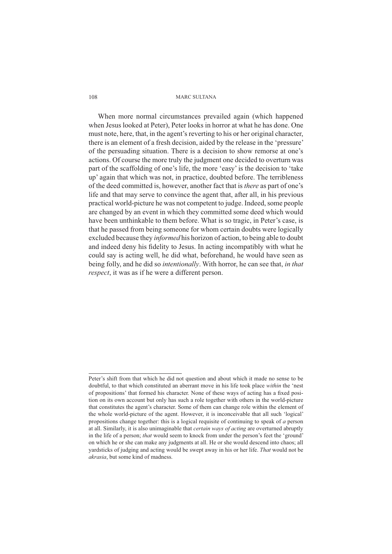When more normal circumstances prevailed again (which happened when Jesus looked at Peter), Peter looks in horror at what he has done. One must note, here, that, in the agent's reverting to his or her original character, there is an element of a fresh decision, aided by the release in the 'pressure' of the persuading situation. There is a decision to show remorse at one's actions. Of course the more truly the judgment one decided to overturn was part of the scaffolding of one's life, the more 'easy' is the decision to 'take up' again that which was not, in practice, doubted before. The terribleness of the deed committed is, however, another fact that is *there* as part of one's life and that may serve to convince the agent that, after all, in his previous practical world-picture he was not competent to judge. Indeed, some people are changed by an event in which they committed some deed which would have been unthinkable to them before. What is so tragic, in Peter's case, is that he passed from being someone for whom certain doubts were logically excluded because they *informed* his horizon of action, to being able to doubt and indeed deny his fidelity to Jesus. In acting incompatibly with what he could say is acting well, he did what, beforehand, he would have seen as being folly, and he did so *intentionally*. With horror, he can see that, *in that respect*, it was as if he were a different person.

Peter's shift from that which he did not question and about which it made no sense to be doubtful, to that which constituted an aberrant move in his life took place *within* the 'nest of propositions' that formed his character. None of these ways of acting has a fixed position on its own account but only has such a role together with others in the world-picture that constitutes the agent's character. Some of them can change role within the element of the whole world-picture of the agent. However, it is inconceivable that all such 'logical' propositions change together: this is a logical requisite of continuing to speak of *a* person at all. Similarly, it is also unimaginable that *certain ways of acting* are overturned abruptly in the life of a person; *that* would seem to knock from under the person's feet the 'ground' on which he or she can make any judgments at all. He or she would descend into chaos; all yardsticks of judging and acting would be swept away in his or her life. *That* would not be *akrasia*, but some kind of madness.